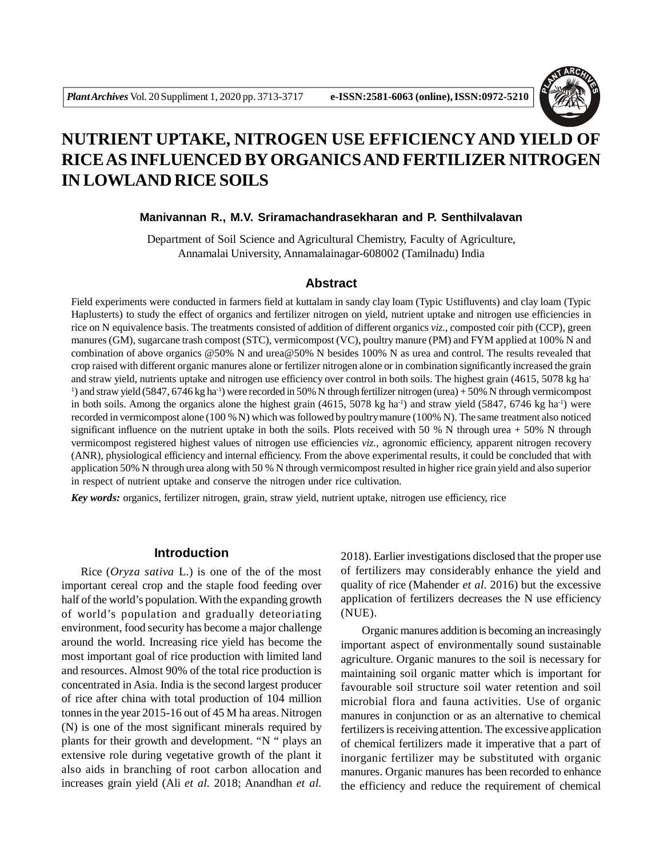

# **NUTRIENT UPTAKE, NITROGEN USE EFFICIENCYAND YIELD OF RICE AS INFLUENCED BY ORGANICS AND FERTILIZER NITROGEN IN LOWLAND RICE SOILS**

### **Manivannan R., M.V. Sriramachandrasekharan and P. Senthilvalavan**

Department of Soil Science and Agricultural Chemistry, Faculty of Agriculture, Annamalai University, Annamalainagar-608002 (Tamilnadu) India

#### **Abstract**

Field experiments were conducted in farmers field at kuttalam in sandy clay loam (Typic Ustifluvents) and clay loam (Typic Haplusterts) to study the effect of organics and fertilizer nitrogen on yield, nutrient uptake and nitrogen use efficiencies in rice on N equivalence basis. The treatments consisted of addition of different organics *viz.*, composted coir pith (CCP), green manures (GM), sugarcane trash compost (STC), vermicompost (VC), poultry manure (PM) and FYM applied at 100% N and combination of above organics @50% N and urea@50% N besides 100% N as urea and control. The results revealed that crop raised with different organic manures alone or fertilizer nitrogen alone or in combination significantly increased the grain and straw yield, nutrients uptake and nitrogen use efficiency over control in both soils. The highest grain (4615, 5078 kg ha-<sup>1</sup>) and straw yield (5847, 6746 kg ha<sup>-1</sup>) were recorded in 50% N through fertilizer nitrogen (urea) + 50% N through vermicompost in both soils. Among the organics alone the highest grain  $(4615, 5078 \text{ kg ha}^{-1})$  and straw yield  $(5847, 6746 \text{ kg ha}^{-1})$  were recorded in vermicompost alone (100 % N) which was followed by poultry manure (100% N). The same treatment also noticed significant influence on the nutrient uptake in both the soils. Plots received with 50 % N through urea  $+50\%$  N through vermicompost registered highest values of nitrogen use efficiencies *viz.*, agronomic efficiency, apparent nitrogen recovery (ANR), physiological efficiency and internal efficiency. From the above experimental results, it could be concluded that with application 50% N through urea along with 50 % N through vermicompost resulted in higher rice grain yield and also superior in respect of nutrient uptake and conserve the nitrogen under rice cultivation.

*Key words:* organics, fertilizer nitrogen, grain, straw yield, nutrient uptake, nitrogen use efficiency, rice

## **Introduction**

Rice (*Oryza sativa* L.) is one of the of the most important cereal crop and the staple food feeding over half of the world's population. With the expanding growth of world's population and gradually deteoriating environment, food security has become a major challenge around the world. Increasing rice yield has become the most important goal of rice production with limited land and resources. Almost 90% of the total rice production is concentrated in Asia. India is the second largest producer of rice after china with total production of 104 million tonnes in the year 2015-16 out of 45 M ha areas. Nitrogen (N) is one of the most significant minerals required by plants for their growth and development. "N " plays an extensive role during vegetative growth of the plant it also aids in branching of root carbon allocation and increases grain yield (Ali *et al.* 2018; Anandhan *et al.*

2018). Earlier investigations disclosed that the proper use of fertilizers may considerably enhance the yield and quality of rice (Mahender *et al.* 2016) but the excessive application of fertilizers decreases the N use efficiency (NUE).

 Organic manures addition is becoming an increasingly important aspect of environmentally sound sustainable agriculture. Organic manures to the soil is necessary for maintaining soil organic matter which is important for favourable soil structure soil water retention and soil microbial flora and fauna activities. Use of organic manures in conjunction or as an alternative to chemical fertilizers is receiving attention. The excessive application of chemical fertilizers made it imperative that a part of inorganic fertilizer may be substituted with organic manures. Organic manures has been recorded to enhance the efficiency and reduce the requirement of chemical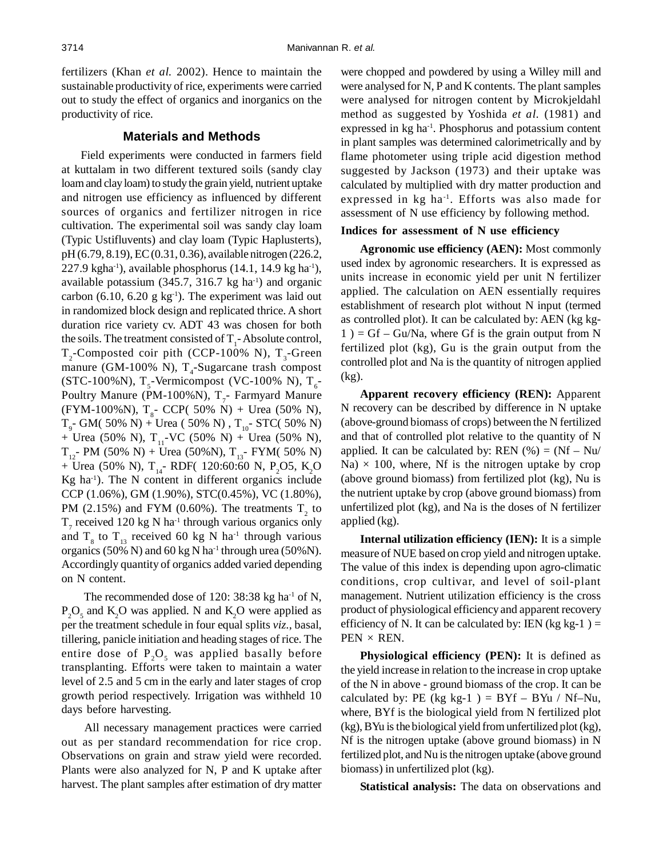fertilizers (Khan *et al.* 2002). Hence to maintain the sustainable productivity of rice, experiments were carried out to study the effect of organics and inorganics on the productivity of rice.

# **Materials and Methods**

Field experiments were conducted in farmers field at kuttalam in two different textured soils (sandy clay loam and clay loam) to study the grain yield, nutrient uptake and nitrogen use efficiency as influenced by different sources of organics and fertilizer nitrogen in rice cultivation. The experimental soil was sandy clay loam (Typic Ustifluvents) and clay loam (Typic Haplusterts), pH (6.79, 8.19), EC (0.31, 0.36), available nitrogen (226.2, 227.9 kgha<sup>-1</sup>), available phosphorus  $(14.1, 14.9 \text{ kg ha}^{-1})$ , available potassium  $(345.7, 316.7 \text{ kg ha}^{-1})$  and organic carbon (6.10, 6.20 g  $kg^{-1}$ ). The experiment was laid out in randomized block design and replicated thrice. A short duration rice variety cv. ADT 43 was chosen for both the soils. The treatment consisted of  $T_1$ -Absolute control,  $T_2$ -Composted coir pith (CCP-100% N),  $T_3$ -Green manure (GM-100% N),  $T_4$ -Sugarcane trash compost (STC-100%N),  $T_s$ -Vermicompost (VC-100% N),  $T_s$ -Poultry Manure (PM-100%N),  $T_7$ - Farmyard Manure (FYM-100%N),  $T_{s}$ - CCP( 50% N) + Urea (50% N),  $T_{9}$ - GM( 50% N) + Urea ( 50% N) ,  $T_{10}$ - STC( 50% N) + Urea (50% N),  $T_{11}$ -VC (50% N) + Urea (50% N),  $T_{12}$ - PM (50% N) + Urea (50%N),  $T_{13}$ - FYM( 50% N) + Urea (50% N),  $T_{14}$ - RDF( 120:60:60 N, P<sub>2</sub>O5, K<sub>2</sub>O  $Kg$  ha<sup>-1</sup>). The N content in different organics include CCP (1.06%), GM (1.90%), STC(0.45%), VC (1.80%), PM (2.15%) and FYM (0.60%). The treatments  $T_2$  to  $T_7$  received 120 kg N ha<sup>-1</sup> through various organics only and  $T_8$  to  $T_{13}$  received 60 kg N ha<sup>-1</sup> through various organics (50% N) and 60 kg N ha<sup>-1</sup> through urea (50% N). Accordingly quantity of organics added varied depending on N content.

The recommended dose of 120: 38:38 kg ha<sup>-1</sup> of N,  $P_2O_5$  and  $K_2O$  was applied. N and  $K_2O$  were applied as per the treatment schedule in four equal splits *viz.*, basal, tillering, panicle initiation and heading stages of rice. The entire dose of  $P_2O_5$  was applied basally before transplanting. Efforts were taken to maintain a water level of 2.5 and 5 cm in the early and later stages of crop growth period respectively. Irrigation was withheld 10 days before harvesting.

All necessary management practices were carried out as per standard recommendation for rice crop. Observations on grain and straw yield were recorded. Plants were also analyzed for N, P and K uptake after harvest. The plant samples after estimation of dry matter were chopped and powdered by using a Willey mill and were analysed for N, P and K contents. The plant samples were analysed for nitrogen content by Microkjeldahl method as suggested by Yoshida *et al.* (1981) and expressed in kg ha<sup>-1</sup>. Phosphorus and potassium content in plant samples was determined calorimetrically and by flame photometer using triple acid digestion method suggested by Jackson (1973) and their uptake was calculated by multiplied with dry matter production and expressed in kg ha<sup>-1</sup>. Efforts was also made for assessment of N use efficiency by following method.

## **Indices for assessment of N use efficiency**

**Agronomic use efficiency (AEN):** Most commonly used index by agronomic researchers. It is expressed as units increase in economic yield per unit N fertilizer applied. The calculation on AEN essentially requires establishment of research plot without N input (termed as controlled plot). It can be calculated by: AEN (kg kg- $1$ ) = Gf – Gu/Na, where Gf is the grain output from N fertilized plot (kg), Gu is the grain output from the controlled plot and Na is the quantity of nitrogen applied (kg).

**Apparent recovery efficiency (REN):** Apparent N recovery can be described by difference in N uptake (above-ground biomass of crops) between the N fertilized and that of controlled plot relative to the quantity of N applied. It can be calculated by: REN  $(\% ) = (Nf - Nu /$  $Na) \times 100$ , where, Nf is the nitrogen uptake by crop (above ground biomass) from fertilized plot (kg), Nu is the nutrient uptake by crop (above ground biomass) from unfertilized plot (kg), and Na is the doses of N fertilizer applied (kg).

**Internal utilization efficiency (IEN):** It is a simple measure of NUE based on crop yield and nitrogen uptake. The value of this index is depending upon agro-climatic conditions, crop cultivar, and level of soil-plant management. Nutrient utilization efficiency is the cross product of physiological efficiency and apparent recovery efficiency of N. It can be calculated by: IEN (kg kg-1) =  $PEN \times REN$ .

**Physiological efficiency (PEN):** It is defined as the yield increase in relation to the increase in crop uptake of the N in above - ground biomass of the crop. It can be calculated by: PE (kg kg-1) =  $BYf - BYu / Nf-Nu$ , where, BYf is the biological yield from N fertilized plot (kg), BYu is the biological yield from unfertilized plot (kg), Nf is the nitrogen uptake (above ground biomass) in N fertilized plot, and Nu is the nitrogen uptake (above ground biomass) in unfertilized plot (kg).

**Statistical analysis:** The data on observations and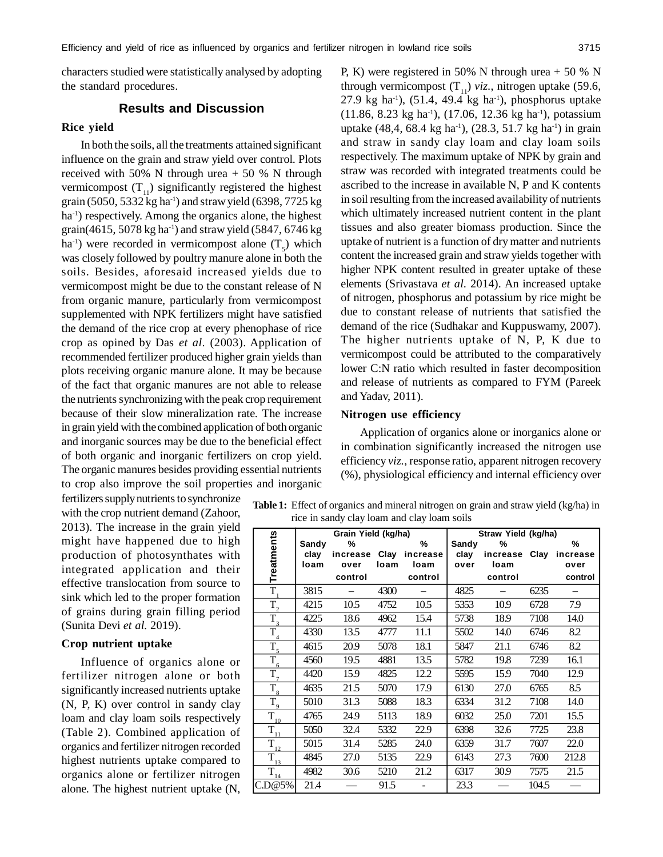characters studied were statistically analysed by adopting the standard procedures.

# **Results and Discussion**

## **Rice yield**

In both the soils, all the treatments attained significant influence on the grain and straw yield over control. Plots received with 50% N through urea  $+ 50$  % N through vermicompost  $(T_{11})$  significantly registered the highest grain (5050, 5332 kg ha<sup>-1</sup>) and straw yield (6398, 7725 kg ha<sup>-1</sup>) respectively. Among the organics alone, the highest grain(4615, 5078 kg ha<sup>-1</sup>) and straw yield (5847, 6746 kg ha<sup>-1</sup>) were recorded in vermicompost alone  $(T<sub>5</sub>)$  which was closely followed by poultry manure alone in both the soils. Besides, aforesaid increased yields due to vermicompost might be due to the constant release of N from organic manure, particularly from vermicompost supplemented with NPK fertilizers might have satisfied the demand of the rice crop at every phenophase of rice crop as opined by Das *et al.* (2003). Application of recommended fertilizer produced higher grain yields than plots receiving organic manure alone. It may be because of the fact that organic manures are not able to release the nutrients synchronizing with the peak crop requirement because of their slow mineralization rate. The increase in grain yield with the combined application of both organic and inorganic sources may be due to the beneficial effect of both organic and inorganic fertilizers on crop yield. The organic manures besides providing essential nutrients to crop also improve the soil properties and inorganic

fertilizers supply nutrients to synchronize with the crop nutrient demand (Zahoor, 2013). The increase in the grain yield might have happened due to high production of photosynthates with integrated application and their effective translocation from source to sink which led to the proper formation of grains during grain filling period (Sunita Devi *et al.* 2019).

### **Crop nutrient uptake**

Influence of organics alone or fertilizer nitrogen alone or both significantly increased nutrients uptake (N, P, K) over control in sandy clay loam and clay loam soils respectively (Table 2). Combined application of organics and fertilizer nitrogen recorded highest nutrients uptake compared to organics alone or fertilizer nitrogen alone. The highest nutrient uptake (N,

P, K) were registered in 50% N through urea  $+ 50$  % N through vermicompost  $(T_{11})$  *viz.*, nitrogen uptake (59.6, 27.9 kg ha<sup>-1</sup>), (51.4, 49.4 kg ha<sup>-1</sup>), phosphorus uptake (11.86, 8.23 kg ha-1), (17.06, 12.36 kg ha-1), potassium uptake  $(48, 4, 68.4 \text{ kg ha}^{-1})$ ,  $(28.3, 51.7 \text{ kg ha}^{-1})$  in grain and straw in sandy clay loam and clay loam soils respectively. The maximum uptake of NPK by grain and straw was recorded with integrated treatments could be ascribed to the increase in available N, P and K contents in soil resulting from the increased availability of nutrients which ultimately increased nutrient content in the plant tissues and also greater biomass production. Since the uptake of nutrient is a function of dry matter and nutrients content the increased grain and straw yields together with higher NPK content resulted in greater uptake of these elements (Srivastava *et al.* 2014). An increased uptake of nitrogen, phosphorus and potassium by rice might be due to constant release of nutrients that satisfied the demand of the rice (Sudhakar and Kuppuswamy, 2007). The higher nutrients uptake of N, P, K due to vermicompost could be attributed to the comparatively lower C:N ratio which resulted in faster decomposition and release of nutrients as compared to FYM (Pareek and Yadav, 2011).

#### **Nitrogen use efficiency**

Application of organics alone or inorganics alone or in combination significantly increased the nitrogen use efficiency *viz.*, response ratio, apparent nitrogen recovery (%), physiological efficiency and internal efficiency over

**Table 1:** Effect of organics and mineral nitrogen on grain and straw yield (kg/ha) in rice in sandy clay loam and clay loam soils

|                                              |       | Grain Yield (kg/ha) |      | Straw Yield (kg/ha) |       |               |       |          |  |
|----------------------------------------------|-------|---------------------|------|---------------------|-------|---------------|-------|----------|--|
| <b>Treatments</b>                            | Sandy | %                   |      | %                   | Sandy | %             |       | %        |  |
|                                              | clay  | increase            | Clay | increase            | clay  | increase Clay |       | increase |  |
|                                              | Ioam  | over                | loam | loam                | over  | loam          |       | over     |  |
|                                              |       | control             |      | control             |       | control       |       | control  |  |
| $T_{1}$                                      | 3815  |                     | 4300 |                     | 4825  |               | 6235  |          |  |
| $\overline{T}_2$                             | 4215  | 10.5                | 4752 | 10.5                | 5353  | 10.9          | 6728  | 7.9      |  |
| $T_{3}$                                      | 4225  | 18.6                | 4962 | 15.4                | 5738  | 18.9          | 7108  | 14.0     |  |
| $\overline{T}_4$                             | 4330  | 13.5                | 4777 | 11.1                | 5502  | 14.0          | 6746  | 8.2      |  |
| $\overline{T}_{5}$                           | 4615  | 20.9                | 5078 | 18.1                | 5847  | 21.1          | 6746  | 8.2      |  |
| $\overline{T}_6$                             | 4560  | 19.5                | 4881 | 13.5                | 5782  | 19.8          | 7239  | 16.1     |  |
| $T_{7}$                                      | 4420  | 15.9                | 4825 | 12.2                | 5595  | 15.9          | 7040  | 12.9     |  |
| $T_{8}$                                      | 4635  | 21.5                | 5070 | 17.9                | 6130  | 27.0          | 6765  | 8.5      |  |
| $\overline{T}_9$                             | 5010  | 31.3                | 5088 | 18.3                | 6334  | 31.2          | 7108  | 14.0     |  |
| $\bar{\mathrm{T}}_{\underline{\mathrm{10}}}$ | 4765  | 24.9                | 5113 | 18.9                | 6032  | 25.0          | 7201  | 15.5     |  |
| $\bar{\mathrm{T}}_{\underline{\mathrm{11}}}$ | 5050  | 32.4                | 5332 | 22.9                | 6398  | 32.6          | 7725  | 23.8     |  |
| $\bar{T}_{\underline{12}}$                   | 5015  | 31.4                | 5285 | 24.0                | 6359  | 31.7          | 7607  | 22.0     |  |
| $\bar{\mathrm{T}}_{_{\underline{13}}}$       | 4845  | 27.0                | 5135 | 22.9                | 6143  | 27.3          | 7600  | 212.8    |  |
| $\bar{\mathrm{T}}_{_{\underline{14}}}$       | 4982  | 30.6                | 5210 | 21.2                | 6317  | 30.9          | 7575  | 21.5     |  |
| C.D@5%                                       | 21.4  |                     | 91.5 |                     | 23.3  |               | 104.5 |          |  |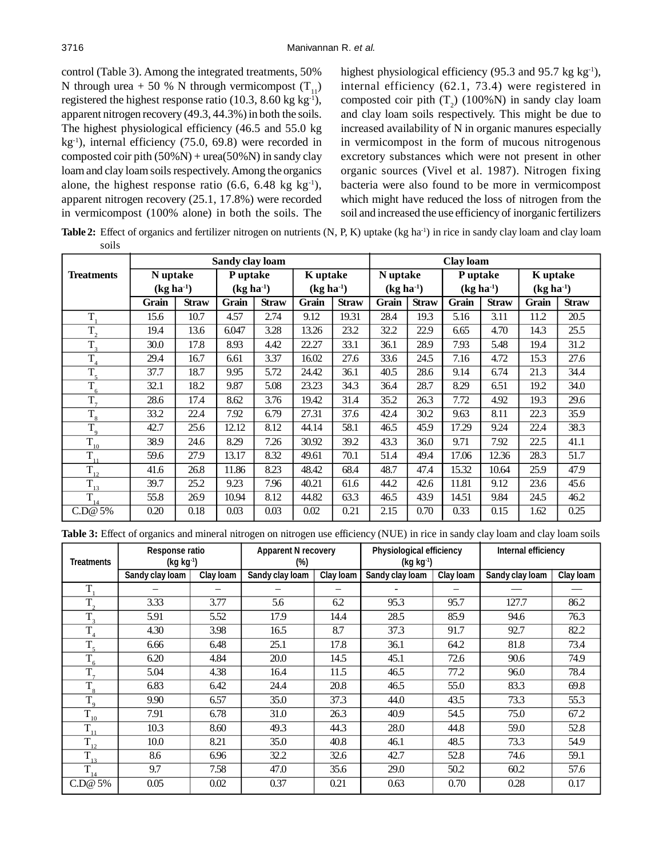control (Table 3). Among the integrated treatments, 50% N through urea + 50 % N through vermicompost  $(T_{11})$ registered the highest response ratio (10.3, 8.60 kg kg<sup>-1</sup>), apparent nitrogen recovery (49.3, 44.3%) in both the soils. The highest physiological efficiency (46.5 and 55.0 kg  $kg<sup>-1</sup>$ ), internal efficiency (75.0, 69.8) were recorded in composted coir pith  $(50\%) + \text{urea}(50\%)$  in sandy clay loam and clay loam soils respectively. Among the organics alone, the highest response ratio (6.6, 6.48 kg kg<sup>-1</sup>), apparent nitrogen recovery (25.1, 17.8%) were recorded in vermicompost (100% alone) in both the soils. The highest physiological efficiency (95.3 and 95.7 kg  $kg<sup>-1</sup>$ ), internal efficiency (62.1, 73.4) were registered in composted coir pith  $(T_2)$  (100%N) in sandy clay loam and clay loam soils respectively. This might be due to increased availability of N in organic manures especially in vermicompost in the form of mucous nitrogenous excretory substances which were not present in other organic sources (Vivel et al. 1987). Nitrogen fixing bacteria were also found to be more in vermicompost which might have reduced the loss of nitrogen from the soil and increased the use efficiency of inorganic fertilizers

Table 2: Effect of organics and fertilizer nitrogen on nutrients (N, P, K) uptake (kg ha<sup>-1</sup>) in rice in sandy clay loam and clay loam soils

|                   | Sandy clay loam |              |             |              |             |              | Clay loam   |              |             |              |             |              |
|-------------------|-----------------|--------------|-------------|--------------|-------------|--------------|-------------|--------------|-------------|--------------|-------------|--------------|
| <b>Treatments</b> | N uptake        |              | P uptake    |              | K uptake    |              | N uptake    |              | P uptake    |              | K uptake    |              |
|                   | $(kg ha-1)$     |              | $(kg ha-1)$ |              | $(kg ha-1)$ |              | $(kg ha-1)$ |              | $(kg ha-1)$ |              | $(kg ha-1)$ |              |
|                   | Grain           | <b>Straw</b> | Grain       | <b>Straw</b> | Grain       | <b>Straw</b> | Grain       | <b>Straw</b> | Grain       | <b>Straw</b> | Grain       | <b>Straw</b> |
| T,                | 15.6            | 10.7         | 4.57        | 2.74         | 9.12        | 19.31        | 28.4        | 19.3         | 5.16        | 3.11         | 11.2        | 20.5         |
| $T_{2}$           | 19.4            | 13.6         | 6.047       | 3.28         | 13.26       | 23.2         | 32.2        | 22.9         | 6.65        | 4.70         | 14.3        | 25.5         |
| $T_{\rm a}$       | 30.0            | 17.8         | 8.93        | 4.42         | 22.27       | 33.1         | 36.1        | 28.9         | 7.93        | 5.48         | 19.4        | 31.2         |
| $T_{4}$           | 29.4            | 16.7         | 6.61        | 3.37         | 16.02       | 27.6         | 33.6        | 24.5         | 7.16        | 4.72         | 15.3        | 27.6         |
| $T_{5}$           | 37.7            | 18.7         | 9.95        | 5.72         | 24.42       | 36.1         | 40.5        | 28.6         | 9.14        | 6.74         | 21.3        | 34.4         |
| $T_{6}$           | 32.1            | 18.2         | 9.87        | 5.08         | 23.23       | 34.3         | 36.4        | 28.7         | 8.29        | 6.51         | 19.2        | 34.0         |
| $T_{7}$           | 28.6            | 17.4         | 8.62        | 3.76         | 19.42       | 31.4         | 35.2        | 26.3         | 7.72        | 4.92         | 19.3        | 29.6         |
| $\overline{T}_8$  | 33.2            | 22.4         | 7.92        | 6.79         | 27.31       | 37.6         | 42.4        | 30.2         | 9.63        | 8.11         | 22.3        | 35.9         |
| $T_{9}$           | 42.7            | 25.6         | 12.12       | 8.12         | 44.14       | 58.1         | 46.5        | 45.9         | 17.29       | 9.24         | 22.4        | 38.3         |
| $T_{_{10}}$       | 38.9            | 24.6         | 8.29        | 7.26         | 30.92       | 39.2         | 43.3        | 36.0         | 9.71        | 7.92         | 22.5        | 41.1         |
| $T_{11}$          | 59.6            | 27.9         | 13.17       | 8.32         | 49.61       | 70.1         | 51.4        | 49.4         | 17.06       | 12.36        | 28.3        | 51.7         |
| $T_{12}$          | 41.6            | 26.8         | 11.86       | 8.23         | 48.42       | 68.4         | 48.7        | 47.4         | 15.32       | 10.64        | 25.9        | 47.9         |
| $T_{13}$          | 39.7            | 25.2         | 9.23        | 7.96         | 40.21       | 61.6         | 44.2        | 42.6         | 11.81       | 9.12         | 23.6        | 45.6         |
| $T_{14}$          | 55.8            | 26.9         | 10.94       | 8.12         | 44.82       | 63.3         | 46.5        | 43.9         | 14.51       | 9.84         | 24.5        | 46.2         |
| $C_{\cdot}D@5%$   | 0.20            | 0.18         | 0.03        | 0.03         | 0.02        | 0.21         | 2.15        | 0.70         | 0.33        | 0.15         | 1.62        | 0.25         |

**Table 3:** Effect of organics and mineral nitrogen on nitrogen use efficiency (NUE) in rice in sandy clay loam and clay loam soils

| <b>Treatments</b> | Response ratio<br>(kg kg <sup>-1</sup> ) |           | <b>Apparent N recovery</b><br>(%) |                  | <b>Physiological efficiency</b><br>(kg kg <sup>-1</sup> ) |           | Internal efficiency |           |  |
|-------------------|------------------------------------------|-----------|-----------------------------------|------------------|-----------------------------------------------------------|-----------|---------------------|-----------|--|
|                   | Sandy clay loam                          | Clay Ioam | Sandy clay loam                   | <b>Clay loam</b> | Sandy clay loam                                           | Clay Ioam | Sandy clay loam     | Clay loam |  |
| T                 |                                          |           |                                   |                  |                                                           |           |                     |           |  |
| $T_{\gamma}$      | 3.33                                     | 3.77      | 5.6                               | 6.2              | 95.3                                                      | 95.7      | 127.7               | 86.2      |  |
| $\overline{T}_3$  | 5.91                                     | 5.52      | 17.9                              | 14.4             | 28.5                                                      | 85.9      | 94.6                | 76.3      |  |
| $T_{4}$           | 4.30                                     | 3.98      | 16.5                              | 8.7              | 37.3                                                      | 91.7      | 92.7                | 82.2      |  |
| $T_{\rm s}$       | 6.66                                     | 6.48      | 25.1                              | 17.8             | 36.1                                                      | 64.2      | 81.8                | 73.4      |  |
| $T_{6}$           | 6.20                                     | 4.84      | 20.0                              | 14.5             | 45.1                                                      | 72.6      | 90.6                | 74.9      |  |
| $\overline{T}_7$  | 5.04                                     | 4.38      | 16.4                              | 11.5             | 46.5                                                      | 77.2      | 96.0                | 78.4      |  |
| $T_{\rm 8}$       | 6.83                                     | 6.42      | 24.4                              | 20.8             | 46.5                                                      | 55.0      | 83.3                | 69.8      |  |
| $T_{\rm q}$       | 9.90                                     | 6.57      | 35.0                              | 37.3             | 44.0                                                      | 43.5      | 73.3                | 55.3      |  |
| T<br>10           | 7.91                                     | 6.78      | 31.0                              | 26.3             | 40.9                                                      | 54.5      | 75.0                | 67.2      |  |
| ᠇                 | 10.3                                     | 8.60      | 49.3                              | 44.3             | 28.0                                                      | 44.8      | 59.0                | 52.8      |  |
| T.<br>$1_{12}$    | 10.0                                     | 8.21      | 35.0                              | 40.8             | 46.1                                                      | 48.5      | 73.3                | 54.9      |  |
| T<br>13           | 8.6                                      | 6.96      | 32.2                              | 32.6             | 42.7                                                      | 52.8      | 74.6                | 59.1      |  |
| ᠇᠇                | 9.7                                      | 7.58      | 47.0                              | 35.6             | 29.0                                                      | 50.2      | 60.2                | 57.6      |  |
| C.D@5%            | 0.05                                     | 0.02      | 0.37                              | 0.21             | 0.63                                                      | 0.70      | 0.28                | 0.17      |  |